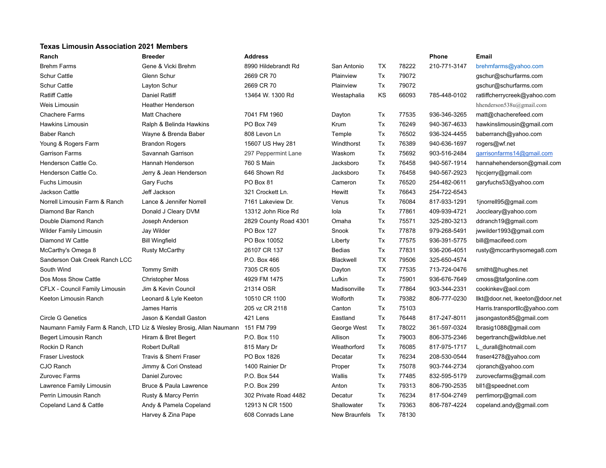## **Texas Limousin Association 2021 Members**

| Ranch                          | <b>Breeder</b>                                                                 | <b>Address</b>        |               |           |       | <b>Phone</b> | Email                           |
|--------------------------------|--------------------------------------------------------------------------------|-----------------------|---------------|-----------|-------|--------------|---------------------------------|
| <b>Brehm Farms</b>             | Gene & Vicki Brehm                                                             | 8990 Hildebrandt Rd   | San Antonio   | TX        | 78222 | 210-771-3147 | brehmfarms@yahoo.com            |
| <b>Schur Cattle</b>            | Glenn Schur                                                                    | 2669 CR 70            | Plainview     | Tx        | 79072 |              | gschur@schurfarms.com           |
| <b>Schur Cattle</b>            | Layton Schur                                                                   | 2669 CR 70            | Plainview     | Tx        | 79072 |              | gschur@schurfarms.com           |
| <b>Ratliff Cattle</b>          | Daniel Ratliff                                                                 | 13464 W. 1300 Rd      | Westaphalia   | KS        | 66093 | 785-448-0102 | ratliffcherrycreek@yahoo.com    |
| Weis Limousin                  | <b>Heather Henderson</b>                                                       |                       |               |           |       |              | hhenderson538u@gmail.com        |
| <b>Chachere Farms</b>          | <b>Matt Chachere</b>                                                           | 7041 FM 1960          | Dayton        | Tx        | 77535 | 936-346-3265 | matt@chacherefeed.com           |
| <b>Hawkins Limousin</b>        | Ralph & Belinda Hawkins                                                        | <b>PO Box 749</b>     | Krum          | Tx        | 76249 | 940-367-4633 | hawkinslimousin@gmail.com       |
| <b>Baber Ranch</b>             | Wayne & Brenda Baber                                                           | 808 Levon Ln          | Temple        | Tx        | 76502 | 936-324-4455 | baberranch@yahoo.com            |
| Young & Rogers Farm            | <b>Brandon Rogers</b>                                                          | 15607 US Hwy 281      | Windthorst    | Tx        | 76389 | 940-636-1697 | rogers@wf.net                   |
| <b>Garrison Farms</b>          | Savannah Garrison                                                              | 297 Peppermint Lane   | Waskom        | Tx        | 75692 | 903-516-2484 | garrisonfarms14@gmail.com       |
| Henderson Cattle Co.           | Hannah Henderson                                                               | 760 S Main            | Jacksboro     | Tx        | 76458 | 940-567-1914 | hannahehenderson@gmail.com      |
| Henderson Cattle Co.           | Jerry & Jean Henderson                                                         | 646 Shown Rd          | Jacksboro     | Tx        | 76458 | 940-567-2923 | hjccjerry@gmail.com             |
| <b>Fuchs Limousin</b>          | Gary Fuchs                                                                     | PO Box 81             | Cameron       | Tx        | 76520 | 254-482-0611 | garyfuchs53@yahoo.com           |
| <b>Jackson Cattle</b>          | Jeff Jackson                                                                   | 321 Crockett Ln.      | Hewitt        | Tx        | 76643 | 254-722-6543 |                                 |
| Norrell Limousin Farm & Ranch  | Lance & Jennifer Norrell                                                       | 7161 Lakeview Dr.     | Venus         | Tx        | 76084 | 817-933-1291 | 1jnorrell95@gmail.com           |
| Diamond Bar Ranch              | Donald J Cleary DVM                                                            | 13312 John Rice Rd    | lola          | Tx        | 77861 | 409-939-4721 | Joccleary@yahoo.com             |
| Double Diamond Ranch           | Joseph Anderson                                                                | 2829 County Road 4301 | Omaha         | Tx        | 75571 | 325-280-3213 | ddranch19@gmail.com             |
| <b>Wilder Family Limousin</b>  | Jay Wilder                                                                     | PO Box 127            | Snook         | Tx        | 77878 | 979-268-5491 | jwwilder1993@gmail.com          |
| Diamond W Cattle               | <b>Bill Wingfield</b>                                                          | PO Box 10052          | Liberty       | Tx        | 77575 | 936-391-5775 | bill@macifeed.com               |
| McCarthy's Omega 8             | <b>Rusty McCarthy</b>                                                          | 26107 CR 137          | <b>Bedias</b> | Tx        | 77831 | 936-206-4051 | rusty@mccarthysomega8.com       |
| Sanderson Oak Creek Ranch LCC  |                                                                                | P.O. Box 466          | Blackwell     | <b>TX</b> | 79506 | 325-650-4574 |                                 |
| South Wind                     | <b>Tommy Smith</b>                                                             | 7305 CR 605           | Dayton        | <b>TX</b> | 77535 | 713-724-0476 | smitht@hughes.net               |
| Dos Moss Show Cattle           | <b>Christopher Moss</b>                                                        | 4929 FM 1475          | Lufkin        | Tx        | 75901 | 936-676-7649 | cmoss@tafgonline.com            |
| CFLX - Council Family Limousin | Jim & Kevin Council                                                            | 21314 OSR             | Madisonville  | Tx        | 77864 | 903-344-2331 | cookinkev@aol.com               |
| Keeton Limousin Ranch          | Leonard & Lyle Keeton                                                          | 10510 CR 1100         | Wolforth      | Tx        | 79382 | 806-777-0230 | likt@door.net, lkeeton@door.net |
|                                | James Harris                                                                   | 205 vz CR 2118        | Canton        | Tx        | 75103 |              | Harris.transportllc@yahoo.com   |
| <b>Circle G Genetics</b>       | Jason & Kendall Gaston                                                         | 421 Lens              | Eastland      | Tx        | 76448 | 817-247-8011 | jasongaston85@gmail.com         |
|                                | Naumann Family Farm & Ranch, LTD Liz & Wesley Brosig, Allan Naumann 151 FM 799 |                       | George West   | Tx        | 78022 | 361-597-0324 | lbrasig1088@gmail.com           |
| Begert Limousin Ranch          | Hiram & Bret Begert                                                            | P.O. Box 110          | Allison       | Tx        | 79003 | 806-375-2346 | begertranch@wildblue.net        |
| Rockin D Ranch                 | <b>Robert DuRall</b>                                                           | 815 Mary Dr           | Weathorford   | Tx        | 76085 | 817-975-1717 | L_durall@hotmail.com            |
| <b>Fraser Livestock</b>        | Travis & Sherri Fraser                                                         | PO Box 1826           | Decatar       | Tx        | 76234 | 208-530-0544 | fraser4278@yahoo.com            |
| CJO Ranch                      | Jimmy & Cori Onstead                                                           | 1400 Rainier Dr       | Proper        | Tx        | 75078 | 903-744-2734 | cjoranch@yahoo.com              |
| <b>Zurovec Farms</b>           | Daniel Zurovec                                                                 | P.O. Box 544          | Wallis        | Tx        | 77485 | 832-595-5179 | zurovecfarms@gmail.com          |
| Lawrence Family Limousin       | Bruce & Paula Lawrence                                                         | P.O. Box 299          | Anton         | Tx        | 79313 | 806-790-2535 | bll1@speednet.com               |
| Perrin Limousin Ranch          | Rusty & Marcy Perrin                                                           | 302 Private Road 4482 | Decatur       | Tx        | 76234 | 817-504-2749 | perrlimorp@gmail.com            |
| Copeland Land & Cattle         | Andy & Pamela Copeland                                                         | 12913 N CR 1500       | Shallowater   | Tx        | 79363 | 806-787-4224 | copeland.andy@gmail.com         |
|                                | Harvey & Zina Pape                                                             | 608 Conrads Lane      | New Braunfels | Tx        | 78130 |              |                                 |